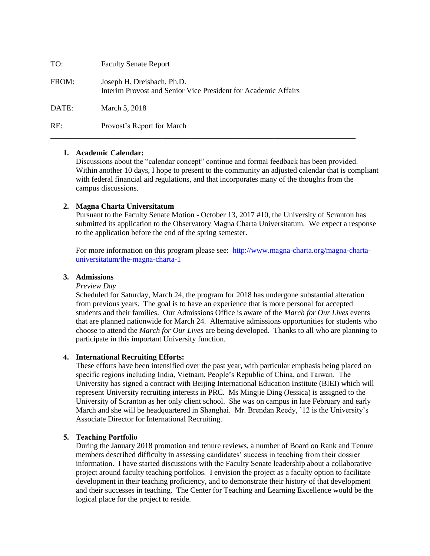| TO:   | <b>Faculty Senate Report</b>                                                                 |
|-------|----------------------------------------------------------------------------------------------|
| FROM: | Joseph H. Dreisbach, Ph.D.<br>Interim Provost and Senior Vice President for Academic Affairs |
| DATE: | March 5, 2018                                                                                |
| RE:   | Provost's Report for March                                                                   |

# **1. Academic Calendar:**

Discussions about the "calendar concept" continue and formal feedback has been provided. Within another 10 days, I hope to present to the community an adjusted calendar that is compliant with federal financial aid regulations, and that incorporates many of the thoughts from the campus discussions.

# **2. Magna Charta Universitatum**

Pursuant to the Faculty Senate Motion - October 13, 2017 #10, the University of Scranton has submitted its application to the Observatory Magna Charta Universitatum. We expect a response to the application before the end of the spring semester.

For more information on this program please see: [http://www.magna-charta.org/magna-charta](http://www.magna-charta.org/magna-charta-universitatum/the-magna-charta-1)[universitatum/the-magna-charta-1](http://www.magna-charta.org/magna-charta-universitatum/the-magna-charta-1)

#### **3. Admissions**

#### *Preview Day*

Scheduled for Saturday, March 24, the program for 2018 has undergone substantial alteration from previous years. The goal is to have an experience that is more personal for accepted students and their families. Our Admissions Office is aware of the *March for Our Lives* events that are planned nationwide for March 24. Alternative admissions opportunities for students who choose to attend the *March for Our Lives* are being developed. Thanks to all who are planning to participate in this important University function.

#### **4. International Recruiting Efforts:**

These efforts have been intensified over the past year, with particular emphasis being placed on specific regions including India, Vietnam, People's Republic of China, and Taiwan. The University has signed a contract with Beijing International Education Institute (BIEI) which will represent University recruiting interests in PRC. Ms Mingjie Ding (Jessica) is assigned to the University of Scranton as her only client school. She was on campus in late February and early March and she will be headquartered in Shanghai. Mr. Brendan Reedy, '12 is the University's Associate Director for International Recruiting.

### **5. Teaching Portfolio**

During the January 2018 promotion and tenure reviews, a number of Board on Rank and Tenure members described difficulty in assessing candidates' success in teaching from their dossier information. I have started discussions with the Faculty Senate leadership about a collaborative project around faculty teaching portfolios. I envision the project as a faculty option to facilitate development in their teaching proficiency, and to demonstrate their history of that development and their successes in teaching. The Center for Teaching and Learning Excellence would be the logical place for the project to reside.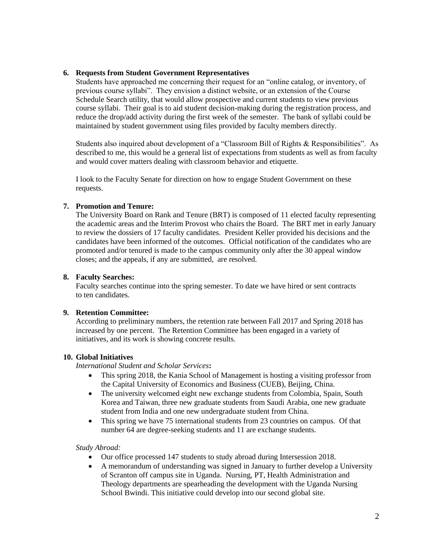# **6. Requests from Student Government Representatives**

Students have approached me concerning their request for an "online catalog, or inventory, of previous course syllabi". They envision a distinct website, or an extension of the Course Schedule Search utility, that would allow prospective and current students to view previous course syllabi. Their goal is to aid student decision-making during the registration process, and reduce the drop/add activity during the first week of the semester. The bank of syllabi could be maintained by student government using files provided by faculty members directly.

Students also inquired about development of a "Classroom Bill of Rights & Responsibilities". As described to me, this would be a general list of expectations from students as well as from faculty and would cover matters dealing with classroom behavior and etiquette.

I look to the Faculty Senate for direction on how to engage Student Government on these requests.

# **7. Promotion and Tenure:**

The University Board on Rank and Tenure (BRT) is composed of 11 elected faculty representing the academic areas and the Interim Provost who chairs the Board. The BRT met in early January to review the dossiers of 17 faculty candidates. President Keller provided his decisions and the candidates have been informed of the outcomes. Official notification of the candidates who are promoted and/or tenured is made to the campus community only after the 30 appeal window closes; and the appeals, if any are submitted, are resolved.

### **8. Faculty Searches:**

Faculty searches continue into the spring semester. To date we have hired or sent contracts to ten candidates.

# **9. Retention Committee:**

According to preliminary numbers, the retention rate between Fall 2017 and Spring 2018 has increased by one percent. The Retention Committee has been engaged in a variety of initiatives, and its work is showing concrete results.

# **10. Global Initiatives**

*International Student and Scholar Services***:**

- This spring 2018, the Kania School of Management is hosting a visiting professor from the Capital University of Economics and Business (CUEB), Beijing, China.
- The university welcomed eight new exchange students from Colombia, Spain, South Korea and Taiwan, three new graduate students from Saudi Arabia, one new graduate student from India and one new undergraduate student from China.
- This spring we have 75 international students from 23 countries on campus. Of that number 64 are degree-seeking students and 11 are exchange students.

#### *Study Abroad:*

- Our office processed 147 students to study abroad during Intersession 2018.
- A memorandum of understanding was signed in January to further develop a University of Scranton off campus site in Uganda. Nursing, PT, Health Administration and Theology departments are spearheading the development with the Uganda Nursing School Bwindi. This initiative could develop into our second global site.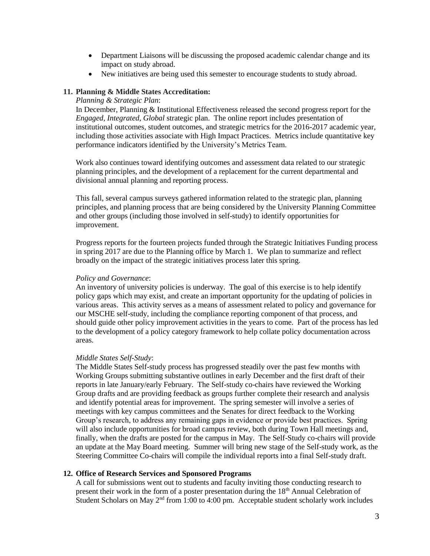- Department Liaisons will be discussing the proposed academic calendar change and its impact on study abroad.
- New initiatives are being used this semester to encourage students to study abroad.

### **11. Planning & Middle States Accreditation:**

### *Planning & Strategic Plan*:

In December, Planning & Institutional Effectiveness released the second progress report for the *Engaged, Integrated, Global* strategic plan. The online report includes presentation of institutional outcomes, student outcomes, and strategic metrics for the 2016-2017 academic year, including those activities associate with High Impact Practices. Metrics include quantitative key performance indicators identified by the University's Metrics Team.

Work also continues toward identifying outcomes and assessment data related to our strategic planning principles, and the development of a replacement for the current departmental and divisional annual planning and reporting process.

This fall, several campus surveys gathered information related to the strategic plan, planning principles, and planning process that are being considered by the University Planning Committee and other groups (including those involved in self-study) to identify opportunities for improvement.

Progress reports for the fourteen projects funded through the Strategic Initiatives Funding process in spring 2017 are due to the Planning office by March 1. We plan to summarize and reflect broadly on the impact of the strategic initiatives process later this spring.

#### *Policy and Governance*:

An inventory of university policies is underway. The goal of this exercise is to help identify policy gaps which may exist, and create an important opportunity for the updating of policies in various areas. This activity serves as a means of assessment related to policy and governance for our MSCHE self-study, including the compliance reporting component of that process, and should guide other policy improvement activities in the years to come. Part of the process has led to the development of a policy category framework to help collate policy documentation across areas.

#### *Middle States Self-Study*:

The Middle States Self-study process has progressed steadily over the past few months with Working Groups submitting substantive outlines in early December and the first draft of their reports in late January/early February. The Self-study co-chairs have reviewed the Working Group drafts and are providing feedback as groups further complete their research and analysis and identify potential areas for improvement. The spring semester will involve a series of meetings with key campus committees and the Senates for direct feedback to the Working Group's research, to address any remaining gaps in evidence or provide best practices. Spring will also include opportunities for broad campus review, both during Town Hall meetings and, finally, when the drafts are posted for the campus in May. The Self-Study co-chairs will provide an update at the May Board meeting. Summer will bring new stage of the Self-study work, as the Steering Committee Co-chairs will compile the individual reports into a final Self-study draft.

# **12. Office of Research Services and Sponsored Programs**

A call for submissions went out to students and faculty inviting those conducting research to present their work in the form of a poster presentation during the  $18<sup>th</sup>$  Annual Celebration of Student Scholars on May  $2<sup>nd</sup>$  from 1:00 to 4:00 pm. Acceptable student scholarly work includes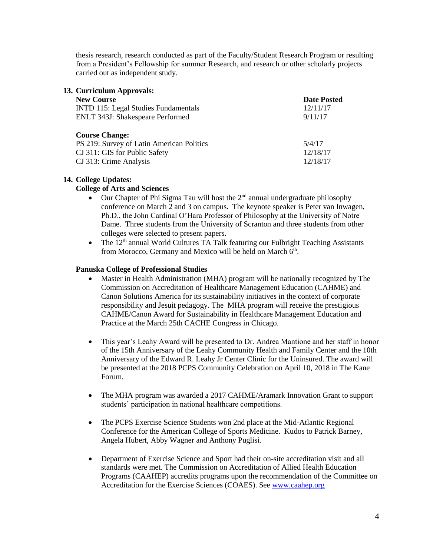thesis research, research conducted as part of the Faculty/Student Research Program or resulting from a President's Fellowship for summer Research, and research or other scholarly projects carried out as independent study.

| 13. Curriculum Approvals:                                          |                    |
|--------------------------------------------------------------------|--------------------|
| <b>New Course</b>                                                  | <b>Date Posted</b> |
| <b>INTD 115: Legal Studies Fundamentals</b>                        | 12/11/17           |
| <b>ENLT 343J: Shakespeare Performed</b>                            | 9/11/17            |
|                                                                    |                    |
| <b>Course Change:</b><br>PS 219: Survey of Latin American Politics | 5/4/17             |
| CJ 311: GIS for Public Safety                                      | 12/18/17           |
|                                                                    |                    |
| CJ 313: Crime Analysis                                             | 12/18/17           |

### **14. College Updates:**

### **College of Arts and Sciences**

- Our Chapter of Phi Sigma Tau will host the  $2<sup>nd</sup>$  annual undergraduate philosophy conference on March 2 and 3 on campus. The keynote speaker is Peter van Inwagen, Ph.D., the John Cardinal O'Hara Professor of Philosophy at the University of Notre Dame. Three students from the University of Scranton and three students from other colleges were selected to present papers.
- $\bullet$  The  $12<sup>th</sup>$  annual World Cultures TA Talk featuring our Fulbright Teaching Assistants from Morocco, Germany and Mexico will be held on March 6<sup>th</sup>.

### **Panuska College of Professional Studies**

- Master in Health Administration (MHA) program will be nationally recognized by The Commission on Accreditation of Healthcare Management Education (CAHME) and Canon Solutions America for its sustainability initiatives in the context of corporate responsibility and Jesuit pedagogy. The MHA program will receive the prestigious CAHME/Canon Award for Sustainability in Healthcare Management Education and Practice at the March 25th CACHE Congress in Chicago.
- This year's Leahy Award will be presented to Dr. Andrea Mantione and her staff in honor of the 15th Anniversary of the Leahy Community Health and Family Center and the 10th Anniversary of the Edward R. Leahy Jr Center Clinic for the Uninsured. The award will be presented at the 2018 PCPS Community Celebration on April 10, 2018 in The Kane Forum.
- The MHA program was awarded a 2017 CAHME/Aramark Innovation Grant to support students' participation in national healthcare competitions.
- The PCPS Exercise Science Students won 2nd place at the Mid-Atlantic Regional Conference for the American College of Sports Medicine. Kudos to Patrick Barney, Angela Hubert, Abby Wagner and Anthony Puglisi.
- Department of Exercise Science and Sport had their on-site accreditation visit and all standards were met. The Commission on Accreditation of Allied Health Education Programs (CAAHEP) accredits programs upon the recommendation of the Committee on Accreditation for the Exercise Sciences (COAES). See [www.caahep.org](http://www.caahep.org/)